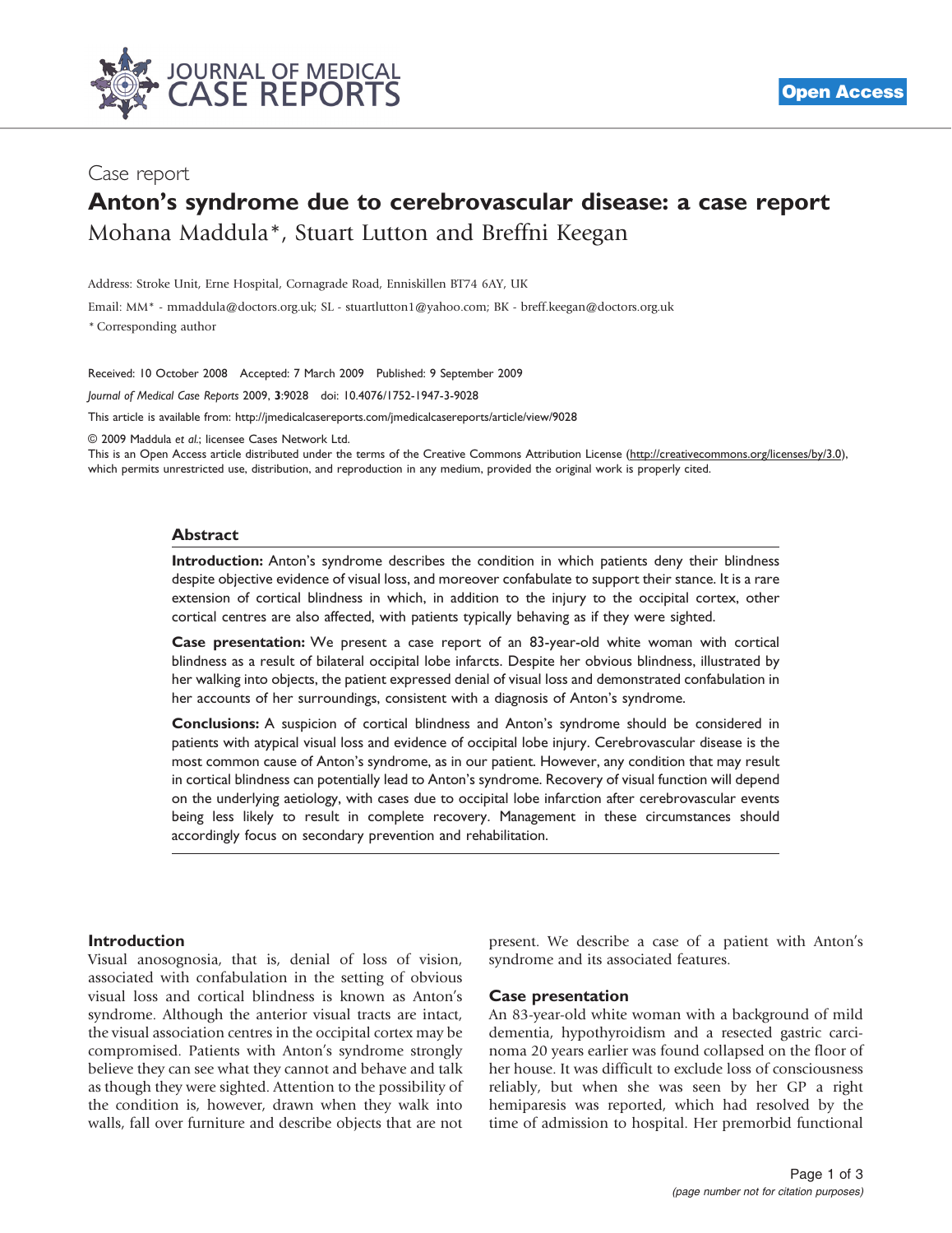

## Case report

# Anton's syndrome due to cerebrovascular disease: a case report Mohana Maddula\*, Stuart Lutton and Breffni Keegan

Address: Stroke Unit, Erne Hospital, Cornagrade Road, Enniskillen BT74 6AY, UK

Email: MM\* - [mmaddula@doctors.org.uk;](mailto:mmaddula@doctors.org.uk) SL - [stuartlutton1@yahoo.com](mailto:stuartlutton1@yahoo.com); BK - [breff.keegan@doctors.org.uk](mailto:breff.keegan@doctors.org.uk)

\* Corresponding author

Received: 10 October 2008 Accepted: 7 March 2009 Published: 9 September 2009

Journal of Medical Case Reports 2009, 3:9028 doi: 10.4076/1752-1947-3-9028

This article is available from:<http://jmedicalcasereports.com/jmedicalcasereports/article/view/9028>

© 2009 Maddula et al.; licensee Cases Network Ltd.

This is an Open Access article distributed under the terms of the Creative Commons Attribution License [\(http://creativecommons.org/licenses/by/3.0\)](http://creativecommons.org/licenses/by/3.0), which permits unrestricted use, distribution, and reproduction in any medium, provided the original work is properly cited.

## Abstract

Introduction: Anton's syndrome describes the condition in which patients deny their blindness despite objective evidence of visual loss, and moreover confabulate to support their stance. It is a rare extension of cortical blindness in which, in addition to the injury to the occipital cortex, other cortical centres are also affected, with patients typically behaving as if they were sighted.

Case presentation: We present a case report of an 83-year-old white woman with cortical blindness as a result of bilateral occipital lobe infarcts. Despite her obvious blindness, illustrated by her walking into objects, the patient expressed denial of visual loss and demonstrated confabulation in her accounts of her surroundings, consistent with a diagnosis of Anton's syndrome.

Conclusions: A suspicion of cortical blindness and Anton's syndrome should be considered in patients with atypical visual loss and evidence of occipital lobe injury. Cerebrovascular disease is the most common cause of Anton's syndrome, as in our patient. However, any condition that may result in cortical blindness can potentially lead to Anton's syndrome. Recovery of visual function will depend on the underlying aetiology, with cases due to occipital lobe infarction after cerebrovascular events being less likely to result in complete recovery. Management in these circumstances should accordingly focus on secondary prevention and rehabilitation.

### Introduction

Visual anosognosia, that is, denial of loss of vision, associated with confabulation in the setting of obvious visual loss and cortical blindness is known as Anton's syndrome. Although the anterior visual tracts are intact, the visual association centres in the occipital cortex may be compromised. Patients with Anton's syndrome strongly believe they can see what they cannot and behave and talk as though they were sighted. Attention to the possibility of the condition is, however, drawn when they walk into walls, fall over furniture and describe objects that are not present. We describe a case of a patient with Anton's syndrome and its associated features.

## Case presentation

An 83-year-old white woman with a background of mild dementia, hypothyroidism and a resected gastric carcinoma 20 years earlier was found collapsed on the floor of her house. It was difficult to exclude loss of consciousness reliably, but when she was seen by her GP a right hemiparesis was reported, which had resolved by the time of admission to hospital. Her premorbid functional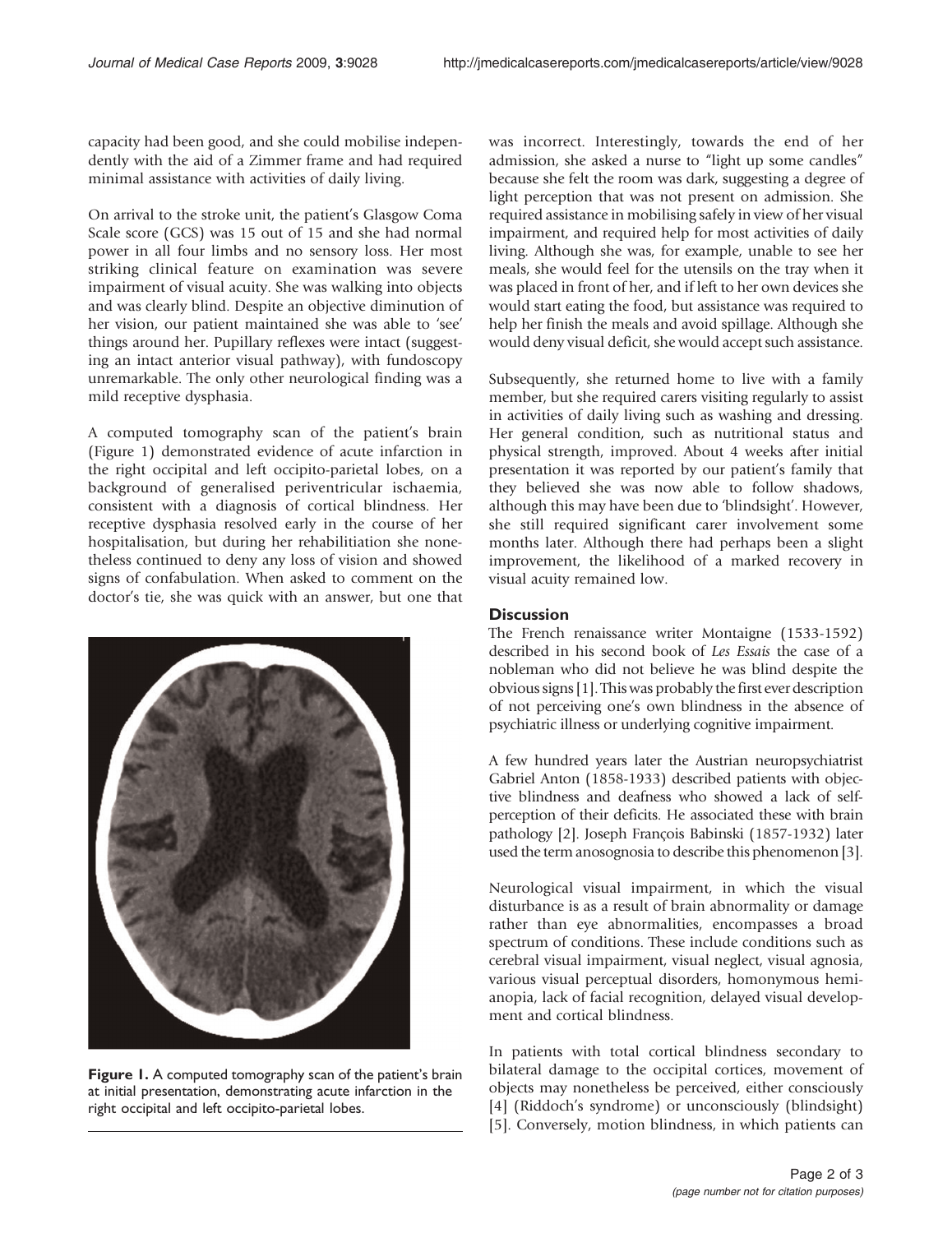capacity had been good, and she could mobilise independently with the aid of a Zimmer frame and had required minimal assistance with activities of daily living.

On arrival to the stroke unit, the patient's Glasgow Coma Scale score (GCS) was 15 out of 15 and she had normal power in all four limbs and no sensory loss. Her most striking clinical feature on examination was severe impairment of visual acuity. She was walking into objects and was clearly blind. Despite an objective diminution of her vision, our patient maintained she was able to 'see' things around her. Pupillary reflexes were intact (suggesting an intact anterior visual pathway), with fundoscopy unremarkable. The only other neurological finding was a mild receptive dysphasia.

A computed tomography scan of the patient's brain (Figure 1) demonstrated evidence of acute infarction in the right occipital and left occipito-parietal lobes, on a background of generalised periventricular ischaemia, consistent with a diagnosis of cortical blindness. Her receptive dysphasia resolved early in the course of her hospitalisation, but during her rehabilitiation she nonetheless continued to deny any loss of vision and showed signs of confabulation. When asked to comment on the doctor's tie, she was quick with an answer, but one that



Figure 1. A computed tomography scan of the patient's brain at initial presentation, demonstrating acute infarction in the right occipital and left occipito-parietal lobes.

was incorrect. Interestingly, towards the end of her admission, she asked a nurse to "light up some candles" because she felt the room was dark, suggesting a degree of light perception that was not present on admission. She required assistance in mobilising safely in view of her visual impairment, and required help for most activities of daily living. Although she was, for example, unable to see her meals, she would feel for the utensils on the tray when it was placed in front of her, and if left to her own devices she would start eating the food, but assistance was required to help her finish the meals and avoid spillage. Although she would deny visual deficit, she would accept such assistance.

Subsequently, she returned home to live with a family member, but she required carers visiting regularly to assist in activities of daily living such as washing and dressing. Her general condition, such as nutritional status and physical strength, improved. About 4 weeks after initial presentation it was reported by our patient's family that they believed she was now able to follow shadows, although this may have been due to 'blindsight'. However, she still required significant carer involvement some months later. Although there had perhaps been a slight improvement, the likelihood of a marked recovery in visual acuity remained low.

## **Discussion**

The French renaissance writer Montaigne (1533-1592) described in his second book of Les Essais the case of a nobleman who did not believe he was blind despite the obvious signs [\[1](#page-2-0)]. This was probably the first ever description of not perceiving one's own blindness in the absence of psychiatric illness or underlying cognitive impairment.

A few hundred years later the Austrian neuropsychiatrist Gabriel Anton (1858-1933) described patients with objective blindness and deafness who showed a lack of selfperception of their deficits. He associated these with brain pathology [\[2](#page-2-0)]. Joseph François Babinski (1857-1932) later used the term anosognosia to describe this phenomenon [[3\]](#page-2-0).

Neurological visual impairment, in which the visual disturbance is as a result of brain abnormality or damage rather than eye abnormalities, encompasses a broad spectrum of conditions. These include conditions such as cerebral visual impairment, visual neglect, visual agnosia, various visual perceptual disorders, homonymous hemianopia, lack of facial recognition, delayed visual development and cortical blindness.

In patients with total cortical blindness secondary to bilateral damage to the occipital cortices, movement of objects may nonetheless be perceived, either consciously [[4](#page-2-0)] (Riddoch's syndrome) or unconsciously (blindsight) [[5](#page-2-0)]. Conversely, motion blindness, in which patients can